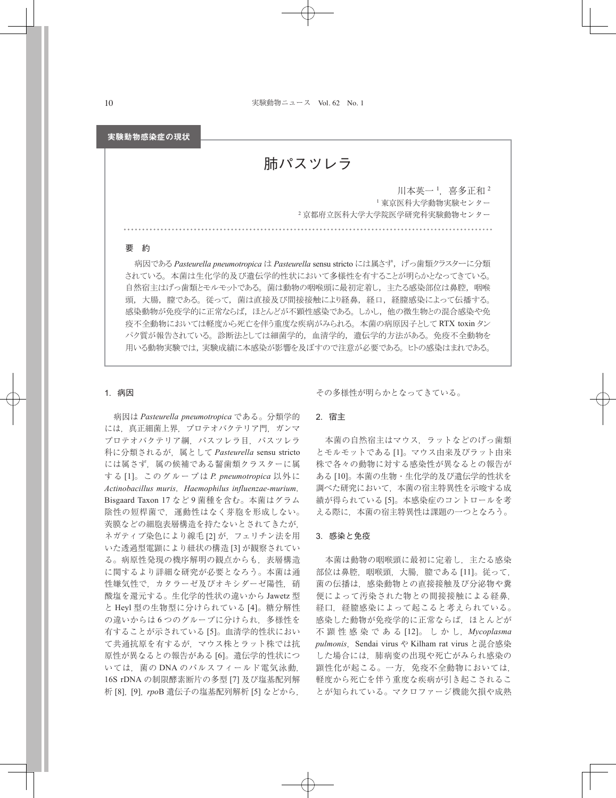## 実験動物感染症の現状

肺パスツレラ

川本英一 ',喜多正和 2 <sup>1</sup> 東京医科大学動物実験センター <sup>2</sup> 京都府立医科大学大学院医学研究科実験動物センター

## 要 約

病因である *Pasteurella pneumotropica* は *Pasteurella* sensu stricto には属さず, げっ歯類クラスターに分類 されている。 本菌は生化学的及び遺伝学的性状において多様性を有することが明らかとなってきている。 自然宿主はげっ歯類とモルモットである。 菌は動物の咽喉頭に最初定着し, 主たる感染部位は鼻腔, 咽喉 頭, 大腸, 膣である。従って, 菌は直接及び間接接触により経鼻, 経口, 経膣感染によって伝播する。 感染動物が免疫学的に正常ならば, ほとんどが不顕性感染である。 しかし, 他の微生物との混合感染や免 疫不全動物においては軽度から死亡を伴う重度な疾病がみられる。 本菌の病原因子として RTX toxin タン パク質が報告されている。 診断法としては細菌学的, 血清学的, 遺伝学的方法がある。 免疫不全動物を 用いる動物実験では,実験成績に本感染が影響を及ぼすので注意が必要である。 ヒトの感染はまれである。

# 1. 病因

病因は *Pasteurella pneumotropica* である。分類学的 には、真正細菌上界、プロテオバクテリア門,ガンマ プロテオバクテリア綱,パスツレラ目,パスツレラ 科に分類されるが,属として *Pasteurella* sensu stricto には属さず,属の候補である齧歯類クラスターに属 する [1]。このグループは *P. pneumotropica* 以外に *Actinobacillus muris*,*Haemophilus influenzae-murium*, Bisgaard Taxon 17 など 9 菌種を含む。本菌はグラム 陰性の短桿菌で,運動性はなく芽胞を形成しない。 莢膜などの細胞表層構造を持たないとされてきたが, ネガティブ染色により線毛 [2] が,フェリチン法を用 いた透過型電顕により紐状の構造 [3] が観察されてい る。病原性発現の機序解明の観点からも,表層構造 に関するより詳細な研究が必要となろう。本菌は通 性嫌気性で,カタラーゼ及びオキシダーゼ陽性,硝 酸塩を還元する。生化学的性状の違いから Jawetz 型 と Heyl 型の生物型に分けられている [4]。糖分解性 の違いからは6つのグループに分けられ、多様性を 有することが示されている [5]。血清学的性状におい て共通抗原を有するが,マウス株とラット株では抗 原性が異なるとの報告がある [6]。遺伝学的性状につ いては、菌の DNA のパルスフィールド電気泳動, 16S rDNA の制限酵素断片の多型 [7] 及び塩基配列解 析 [8],[9],*rpo*B 遺伝子の塩基配列解析 [5] などから,

その多様性が明らかとなってきている。

## 2. 宿主

本菌の自然宿主はマウス,ラットなどのげっ歯類 とモルモットである [1]。マウス由来及びラット由来 株で各々の動物に対する感染性が異なるとの報告が ある [10]。本菌の生物・生化学的及び遺伝学的性状を 調べた研究において,本菌の宿主特異性を示唆する成 績が得られている [5]。本感染症のコントロールを考 える際に,本菌の宿主特異性は課題の一つとなろう。

# 3. 感染と免疫

本菌は動物の咽喉頭に最初に定着し,主たる感染 部位は鼻腔,咽喉頭,大腸,膣である [11]。従って, 菌の伝播は,感染動物との直接接触及び分泌物や糞 便によって汚染された物との間接接触による経鼻, 経口,経膣感染によって起こると考えられている。 感染した動物が免疫学的に正常ならば,ほとんどが 不 顕 性 感 染 で あ る [12]。 し か し,*Mycoplasma*  pulmonis, Sendai virus や Kilham rat virus と混合感染 した場合には,肺病変の出現や死亡がみられ感染の 顕性化が起こる。一方,免疫不全動物においては, 軽度から死亡を伴う重度な疾病が引き起こされるこ とが知られている。マクロファージ機能欠損や成熟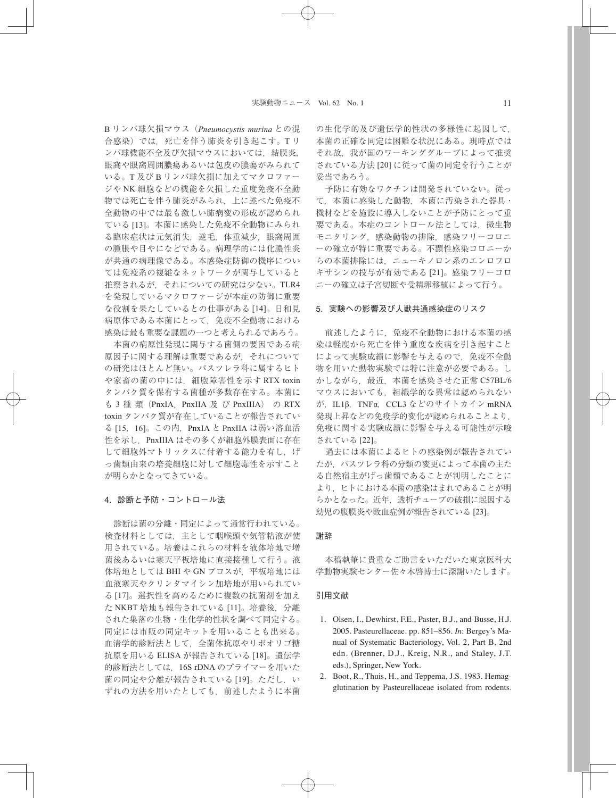B リンパ球欠損マウス(*Pneumocystis murina* との混 合感染)では,死亡を伴う肺炎を引き起こす。T リ ンパ球機能不全及び欠損マウスにおいては,結膜炎, 眼窩や眼窩周囲膿瘍あるいは包皮の膿瘍がみられて いる。T 及び B リンパ球欠損に加えてマクロファー ジや NK 細胞などの機能を欠損した重度免疫不全動 物では死亡を伴う肺炎がみられ,上に述べた免疫不 全動物の中では最も激しい肺病変の形成が認められ ている [13]。本菌に感染した免疫不全動物にみられ る臨床症状は元気消失,逆毛,体重減少,眼窩周囲 の腫脹や目やになどである。病理学的には化膿性炎 が共通の病理像である。本感染症防御の機序につい ては免疫系の複雑なネットワークが関与していると 推察されるが,それについての研究は少ない。TLR4 を発現しているマクロファージが本症の防御に重要 な役割を果たしているとの仕事がある [14]。日和見 病原体である本菌にとって,免疫不全動物における 感染は最も重要な課題の一つと考えられるであろう。

本菌の病原性発現に関与する菌側の要因である病 原因子に関する理解は重要であるが,それについて の研究はほとんど無い。パスツレラ科に属するヒト や家畜の菌の中には,細胞障害性を示す RTX toxin タンパク質を保有する菌種が多数存在する。本菌に も 3 種 類 (PnxIA, PnxIIA 及 び PnxIIIA) の RTX toxin タンパク質が存在していることが報告されてい る [15,16]。この内,PnxIA と PnxIIA は弱い溶血活 性を示し,PnxIIIA はその多くが細胞外膜表面に存在 して細胞外マトリックスに付着する能力を有し,げ っ歯類由来の培養細胞に対して細胞毒性を示すこと が明らかとなってきている。

### 4. 診断と予防・コントロール法

診断は菌の分離・同定によって通常行われている。 検査材料としては,主として咽喉頭や気管粘液が使 用されている。培養はこれらの材料を液体培地で増 菌後あるいは寒天平板培地に直接接種して行う。液 体培地としては BHI や GN ブロスが,平板培地には 血液寒天やクリンタマイシン加培地が用いられてい る [17]。選択性を高めるために複数の抗菌剤を加え た NKBT 培地も報告されている [11]。培養後, 分離 された集落の生物・生化学的性状を調べて同定する。 同定には市販の同定キットを用いることも出来る。 血清学的診断法として,全菌体抗原やリポオリゴ糖 抗原を用いる ELISA が報告されている [18]。遺伝学 的診断法としては,16S rDNA のプライマーを用いた 菌の同定や分離が報告されている [19]。ただし、い ずれの方法を用いたとしても,前述したように本菌 の生化学的及び遺伝学的性状の多様性に起因して, 本菌の正確な同定は困難な状況にある。現時点では それ故,我が国のワーキンググループによって推奨 されている方法 [20] に従って菌の同定を行うことが 妥当であろう。

予防に有効なワクチンは開発されていない。従っ て,本菌に感染した動物,本菌に汚染された器具・ 機材などを施設に導入しないことが予防にとって重 要である。本症のコントロール法としては、微生物 モニタリング,感染動物の排除,感染フリーコロニ ーの確立が特に重要である。不顕性感染コロニーか らの本菌排除には,ニューキノロン系のエンロフロ キサシンの投与が有効である [21]。感染フリーコロ ニーの確立は子宮切断や受精卵移植によって行う。

#### 5. 実験への影響及び人獣共通感染症のリスク

前述したように,免疫不全動物における本菌の感 染は軽度から死亡を伴う重度な疾病を引き起すこと によって実験成績に影響を与えるので、免疫不全動 物を用いた動物実験では特に注意が必要である。し かしながら、最近、本菌を感染させた正常 C57BL/6 マウスにおいても,組織学的な異常は認められない が,IL1β,TNFα,CCL3 などのサイトカイン mRNA 発現上昇などの免疫学的変化が認められることより, 免疫に関する実験成績に影響を与える可能性が示唆 されている [22]。

過去には本菌によるヒトの感染例が報告されてい たが、パスツレラ科の分類の変更によって本菌の主た る自然宿主がげっ歯類であることが判明したことに より,ヒトにおける本菌の感染はまれであることが明 らかとなった。近年,透析チューブの破損に起因する 幼児の腹膜炎や敗血症例が報告されている [23]。

#### 謝辞

本稿執筆に貴重なご助言をいただいた東京医科大 学動物実験センター佐々木啓博士に深謝いたします。

### 引用文献

- 1. Olsen, I., Dewhirst, F.E., Paster, B.J., and Busse, H.J. 2005. Pasteurellaceae. pp. 851–856. *In*: Bergey's Manual of Systematic Bacteriology, Vol. 2, Part B, 2nd edn. (Brenner, D.J., Kreig, N.R., and Staley, J.T. eds.), Springer, New York.
- 2. Boot, R., Thuis, H., and Teppema, J.S. 1983. Hemagglutination by Pasteurellaceae isolated from rodents.